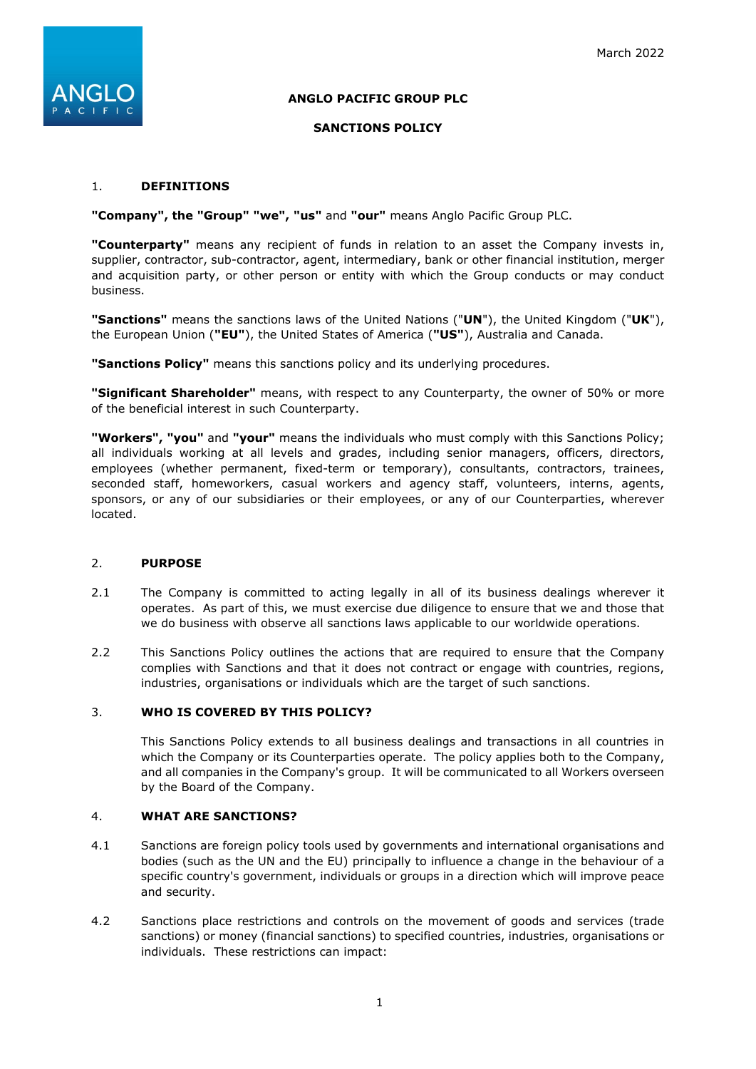

# **ANGLO PACIFIC GROUP PLC**

### **SANCTIONS POLICY**

### 1. **DEFINITIONS**

**"Company", the "Group" "we", "us"** and **"our"** means Anglo Pacific Group PLC.

**"Counterparty"** means any recipient of funds in relation to an asset the Company invests in, supplier, contractor, sub-contractor, agent, intermediary, bank or other financial institution, merger and acquisition party, or other person or entity with which the Group conducts or may conduct business.

**"Sanctions"** means the sanctions laws of the United Nations ("**UN**"), the United Kingdom ("**UK**"), the European Union (**"EU"**), the United States of America (**"US"**), Australia and Canada.

**"Sanctions Policy"** means this sanctions policy and its underlying procedures.

**"Significant Shareholder"** means, with respect to any Counterparty, the owner of 50% or more of the beneficial interest in such Counterparty.

**"Workers", "you"** and **"your"** means the individuals who must comply with this Sanctions Policy; all individuals working at all levels and grades, including senior managers, officers, directors, employees (whether permanent, fixed-term or temporary), consultants, contractors, trainees, seconded staff, homeworkers, casual workers and agency staff, volunteers, interns, agents, sponsors, or any of our subsidiaries or their employees, or any of our Counterparties, wherever located.

# 2. **PURPOSE**

- 2.1 The Company is committed to acting legally in all of its business dealings wherever it operates. As part of this, we must exercise due diligence to ensure that we and those that we do business with observe all sanctions laws applicable to our worldwide operations.
- 2.2 This Sanctions Policy outlines the actions that are required to ensure that the Company complies with Sanctions and that it does not contract or engage with countries, regions, industries, organisations or individuals which are the target of such sanctions.

#### 3. **WHO IS COVERED BY THIS POLICY?**

This Sanctions Policy extends to all business dealings and transactions in all countries in which the Company or its Counterparties operate. The policy applies both to the Company, and all companies in the Company's group. It will be communicated to all Workers overseen by the Board of the Company.

#### 4. **WHAT ARE SANCTIONS?**

- 4.1 Sanctions are foreign policy tools used by governments and international organisations and bodies (such as the UN and the EU) principally to influence a change in the behaviour of a specific country's government, individuals or groups in a direction which will improve peace and security.
- 4.2 Sanctions place restrictions and controls on the movement of goods and services (trade sanctions) or money (financial sanctions) to specified countries, industries, organisations or individuals. These restrictions can impact: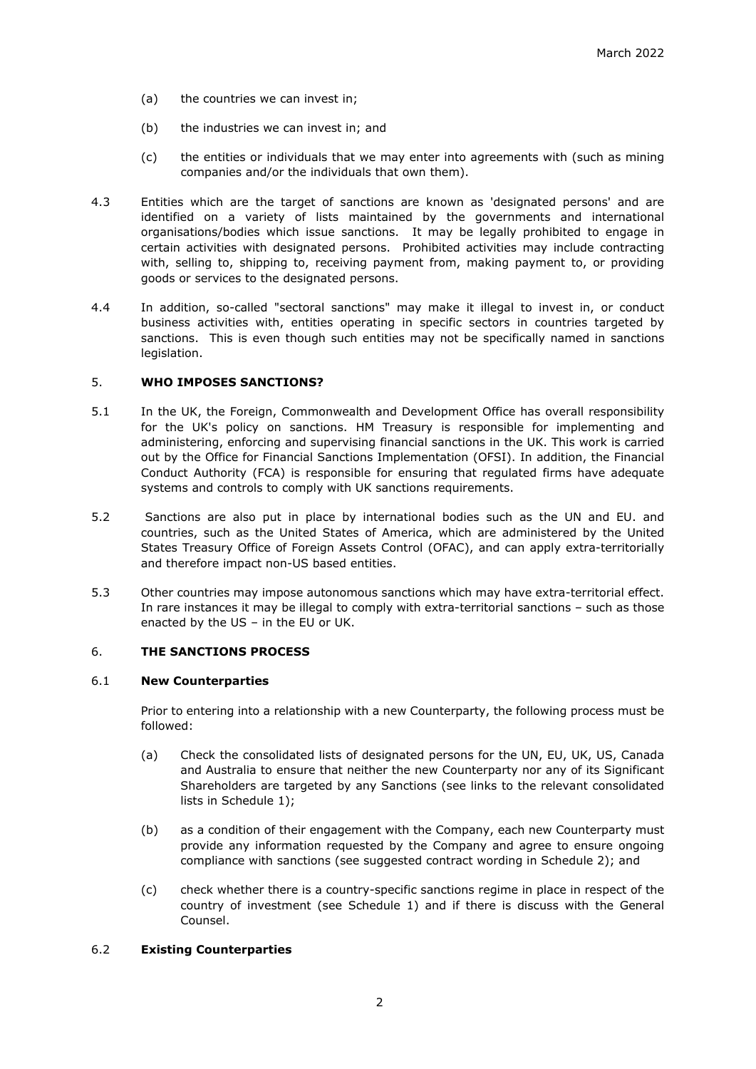- (a) the countries we can invest in;
- (b) the industries we can invest in; and
- (c) the entities or individuals that we may enter into agreements with (such as mining companies and/or the individuals that own them).
- 4.3 Entities which are the target of sanctions are known as 'designated persons' and are identified on a variety of lists maintained by the governments and international organisations/bodies which issue sanctions. It may be legally prohibited to engage in certain activities with designated persons. Prohibited activities may include contracting with, selling to, shipping to, receiving payment from, making payment to, or providing goods or services to the designated persons.
- 4.4 In addition, so-called "sectoral sanctions" may make it illegal to invest in, or conduct business activities with, entities operating in specific sectors in countries targeted by sanctions. This is even though such entities may not be specifically named in sanctions legislation.

### 5. **WHO IMPOSES SANCTIONS?**

- 5.1 In the UK, the Foreign, Commonwealth and Development Office has overall responsibility for the UK's policy on sanctions. HM Treasury is responsible for implementing and administering, enforcing and supervising financial sanctions in the UK. This work is carried out by the Office for Financial Sanctions Implementation (OFSI). In addition, the Financial Conduct Authority (FCA) is responsible for ensuring that regulated firms have adequate systems and controls to comply with UK sanctions requirements.
- 5.2 Sanctions are also put in place by international bodies such as the UN and EU. and countries, such as the United States of America, which are administered by the United States Treasury Office of Foreign Assets Control (OFAC), and can apply extra-territorially and therefore impact non-US based entities.
- 5.3 Other countries may impose autonomous sanctions which may have extra-territorial effect. In rare instances it may be illegal to comply with extra-territorial sanctions – such as those enacted by the US – in the EU or UK.

### 6. **THE SANCTIONS PROCESS**

#### 6.1 **New Counterparties**

Prior to entering into a relationship with a new Counterparty, the following process must be followed:

- (a) Check the consolidated lists of designated persons for the UN, EU, UK, US, Canada and Australia to ensure that neither the new Counterparty nor any of its Significant Shareholders are targeted by any Sanctions (see links to the relevant consolidated lists in Schedule 1);
- (b) as a condition of their engagement with the Company, each new Counterparty must provide any information requested by the Company and agree to ensure ongoing compliance with sanctions (see suggested contract wording in Schedule 2); and
- (c) check whether there is a country-specific sanctions regime in place in respect of the country of investment (see Schedule 1) and if there is discuss with the General Counsel.

#### 6.2 **Existing Counterparties**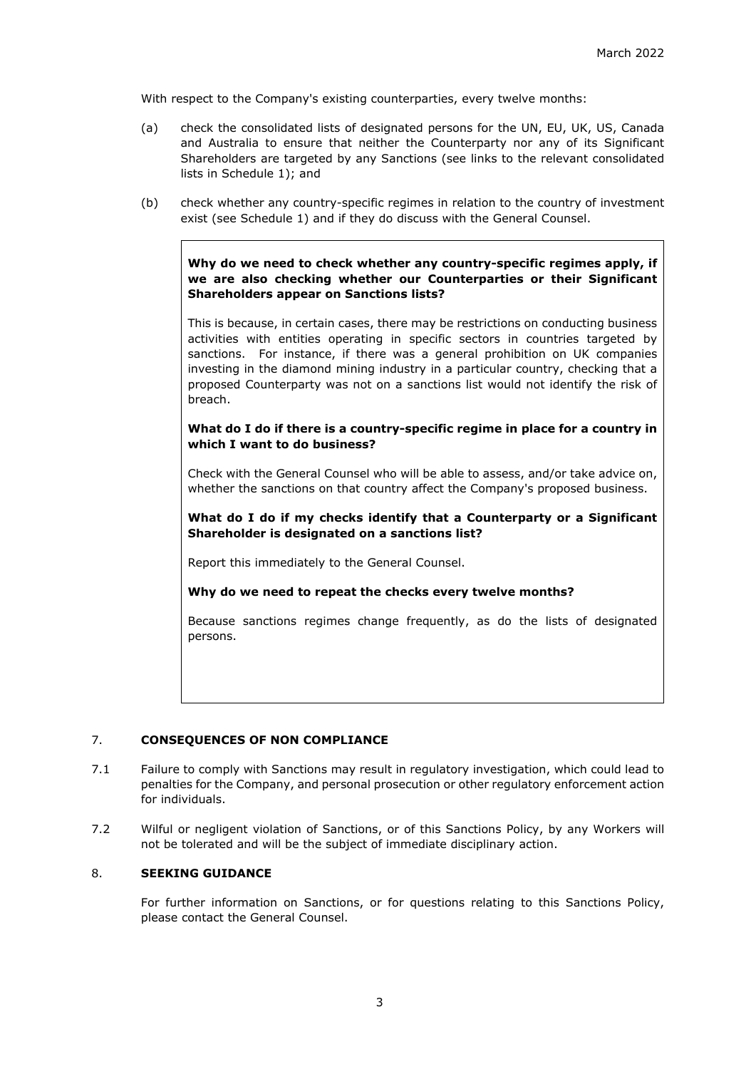With respect to the Company's existing counterparties, every twelve months:

- (a) check the consolidated lists of designated persons for the UN, EU, UK, US, Canada and Australia to ensure that neither the Counterparty nor any of its Significant Shareholders are targeted by any Sanctions (see links to the relevant consolidated lists in Schedule 1); and
- (b) check whether any country-specific regimes in relation to the country of investment exist (see Schedule 1) and if they do discuss with the General Counsel.

**Why do we need to check whether any country-specific regimes apply, if we are also checking whether our Counterparties or their Significant Shareholders appear on Sanctions lists?**

This is because, in certain cases, there may be restrictions on conducting business activities with entities operating in specific sectors in countries targeted by sanctions. For instance, if there was a general prohibition on UK companies investing in the diamond mining industry in a particular country, checking that a proposed Counterparty was not on a sanctions list would not identify the risk of breach.

### **What do I do if there is a country-specific regime in place for a country in which I want to do business?**

Check with the General Counsel who will be able to assess, and/or take advice on, whether the sanctions on that country affect the Company's proposed business.

**What do I do if my checks identify that a Counterparty or a Significant Shareholder is designated on a sanctions list?**

Report this immediately to the General Counsel.

**Why do we need to repeat the checks every twelve months?**

Because sanctions regimes change frequently, as do the lists of designated persons.

#### 7. **CONSEQUENCES OF NON COMPLIANCE**

- 7.1 Failure to comply with Sanctions may result in regulatory investigation, which could lead to penalties for the Company, and personal prosecution or other regulatory enforcement action for individuals.
- 7.2 Wilful or negligent violation of Sanctions, or of this Sanctions Policy, by any Workers will not be tolerated and will be the subject of immediate disciplinary action.

### 8. **SEEKING GUIDANCE**

For further information on Sanctions, or for questions relating to this Sanctions Policy, please contact the General Counsel.